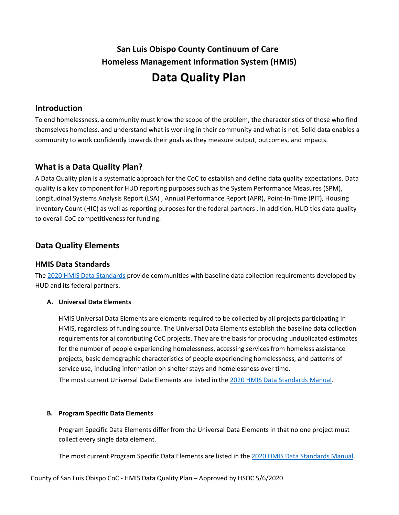# **San Luis Obispo County Continuum of Care Homeless Management Information System (HMIS) Data Quality Plan**

# **Introduction**

To end homelessness, a community must know the scope of the problem, the characteristics of those who find themselves homeless, and understand what is working in their community and what is not. Solid data enables a community to work confidently towards their goals as they measure output, outcomes, and impacts.

# **What is a Data Quality Plan?**

A Data Quality plan is a systematic approach for the CoC to establish and define data quality expectations. Data quality is a key component for HUD reporting purposes such as the System Performance Measures (SPM), Longitudinal Systems Analysis Report (LSA) , Annual Performance Report (APR), Point-In-Time (PIT), Housing Inventory Count (HIC) as well as reporting purposes for the federal partners . In addition, HUD ties data quality to overall CoC competitiveness for funding.

# **Data Quality Elements**

# **HMIS Data Standards**

The [2020 HMIS Data Standards](https://files.hudexchange.info/resources/documents/HMIS-Data-Standards-Manual.pdf) provide communities with baseline data collection requirements developed by HUD and its federal partners.

#### **A. Universal Data Elements**

HMIS Universal Data Elements are elements required to be collected by all projects participating in HMIS, regardless of funding source. The Universal Data Elements establish the baseline data collection requirements for al contributing CoC projects. They are the basis for producing unduplicated estimates for the number of people experiencing homelessness, accessing services from homeless assistance projects, basic demographic characteristics of people experiencing homelessness, and patterns of service use, including information on shelter stays and homelessness over time. The most current Universal Data Elements are listed in the [2020 HMIS Data Standards Manual.](https://files.hudexchange.info/resources/documents/HMIS-Data-Standards-Manual.pdf)

#### **B. Program Specific Data Elements**

Program Specific Data Elements differ from the Universal Data Elements in that no one project must collect every single data element.

The most current Program Specific Data Elements are listed in the [2020 HMIS Data Standards](https://files.hudexchange.info/resources/documents/HMIS-Data-Standards-Manual.pdf) Manual.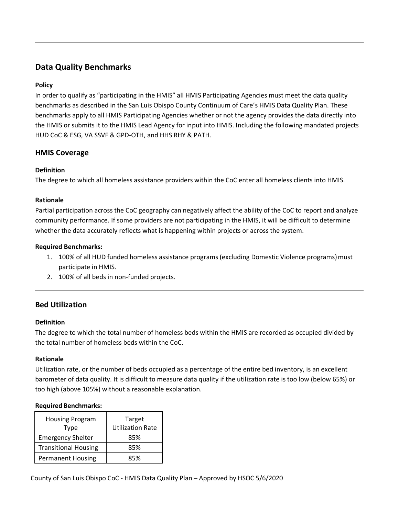# **Data Quality Benchmarks**

### **Policy**

In order to qualify as "participating in the HMIS" all HMIS Participating Agencies must meet the data quality benchmarks as described in the San Luis Obispo County Continuum of Care's HMIS Data Quality Plan. These benchmarks apply to all HMIS Participating Agencies whether or not the agency provides the data directly into the HMIS or submits it to the HMIS Lead Agency for input into HMIS. Including the following mandated projects HUD CoC & ESG, VA SSVF & GPD-OTH, and HHS RHY & PATH.

# **HMIS Coverage**

#### **Definition**

The degree to which all homeless assistance providers within the CoC enter all homeless clients into HMIS.

#### **Rationale**

Partial participation across the CoC geography can negatively affect the ability of the CoC to report and analyze community performance. If some providers are not participating in the HMIS, it will be difficult to determine whether the data accurately reflects what is happening within projects or across the system.

#### **Required Benchmarks:**

- 1. 100% of all HUD funded homeless assistance programs (excluding Domestic Violence programs) must participate in HMIS.
- 2. 100% of all beds in non-funded projects.

# **Bed Utilization**

#### **Definition**

The degree to which the total number of homeless beds within the HMIS are recorded as occupied divided by the total number of homeless beds within the CoC.

#### **Rationale**

Utilization rate, or the number of beds occupied as a percentage of the entire bed inventory, is an excellent barometer of data quality. It is difficult to measure data quality if the utilization rate is too low (below 65%) or too high (above 105%) without a reasonable explanation.

#### **Required Benchmarks:**

| <b>Housing Program</b><br>Type | Target<br><b>Utilization Rate</b> |
|--------------------------------|-----------------------------------|
| <b>Emergency Shelter</b>       | 85%                               |
| <b>Transitional Housing</b>    | 85%                               |
| <b>Permanent Housing</b>       | 85%                               |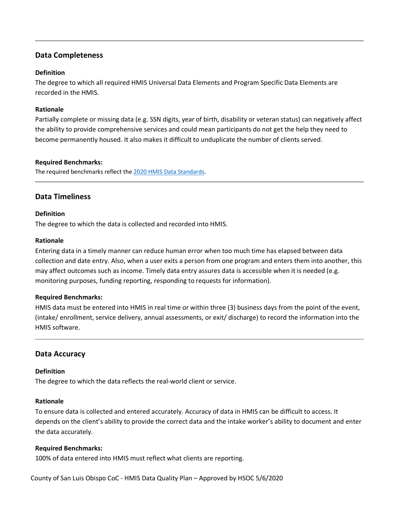# **Data Completeness**

#### **Definition**

The degree to which all required HMIS Universal Data Elements and Program Specific Data Elements are recorded in the HMIS.

#### **Rationale**

Partially complete or missing data (e.g. SSN digits, year of birth, disability or veteran status) can negatively affect the ability to provide comprehensive services and could mean participants do not get the help they need to become permanently housed. It also makes it difficult to unduplicate the number of clients served.

#### **Required Benchmarks:**

The required benchmarks reflect the 2020 HMIS [Data Standards.](https://files.hudexchange.info/resources/documents/HMIS-Data-Standards-Manual.pdf)

# **Data Timeliness**

#### **Definition**

The degree to which the data is collected and recorded into HMIS.

#### **Rationale**

Entering data in a timely manner can reduce human error when too much time has elapsed between data collection and date entry. Also, when a user exits a person from one program and enters them into another, this may affect outcomes such as income. Timely data entry assures data is accessible when it is needed (e.g. monitoring purposes, funding reporting, responding to requests for information).

#### **Required Benchmarks:**

HMIS data must be entered into HMIS in real time or within three (3) business days from the point of the event, (intake/ enrollment, service delivery, annual assessments, or exit/ discharge) to record the information into the HMIS software.

#### **Data Accuracy**

#### **Definition**

The degree to which the data reflects the real-world client or service.

#### **Rationale**

To ensure data is collected and entered accurately. Accuracy of data in HMIS can be difficult to access. It depends on the client's ability to provide the correct data and the intake worker's ability to document and enter the data accurately.

#### **Required Benchmarks:**

100% of data entered into HMIS must reflect what clients are reporting.

County of San Luis Obispo CoC - HMIS Data Quality Plan – Approved by HSOC 5/6/2020